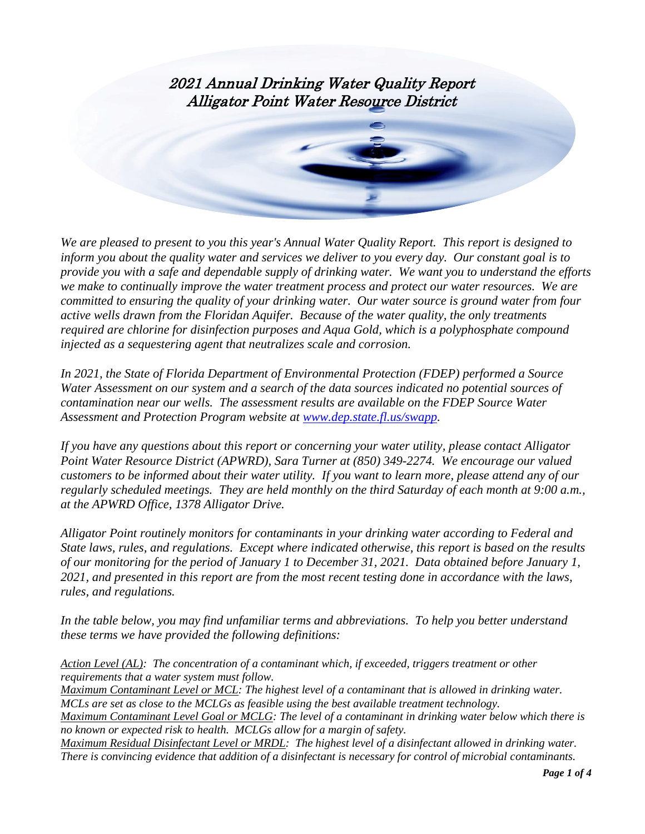

*We are pleased to present to you this year's Annual Water Quality Report. This report is designed to inform you about the quality water and services we deliver to you every day. Our constant goal is to provide you with a safe and dependable supply of drinking water. We want you to understand the efforts we make to continually improve the water treatment process and protect our water resources. We are committed to ensuring the quality of your drinking water. Our water source is ground water from four active wells drawn from the Floridan Aquifer. Because of the water quality, the only treatments required are chlorine for disinfection purposes and Aqua Gold, which is a polyphosphate compound injected as a sequestering agent that neutralizes scale and corrosion.* 

*In 2021, the State of Florida Department of Environmental Protection (FDEP) performed a Source Water Assessment on our system and a search of the data sources indicated no potential sources of contamination near our wells. The assessment results are available on the FDEP Source Water Assessment and Protection Program website at [www.dep.state.fl.us/swapp.](http://www.dep.state.fl.us/swapp)*

*If you have any questions about this report or concerning your water utility, please contact Alligator Point Water Resource District (APWRD), Sara Turner at (850) 349-2274. We encourage our valued customers to be informed about their water utility. If you want to learn more, please attend any of our regularly scheduled meetings. They are held monthly on the third Saturday of each month at 9:00 a.m., at the APWRD Office, 1378 Alligator Drive.*

*Alligator Point routinely monitors for contaminants in your drinking water according to Federal and State laws, rules, and regulations. Except where indicated otherwise, this report is based on the results of our monitoring for the period of January 1 to December 31, 2021. Data obtained before January 1, 2021, and presented in this report are from the most recent testing done in accordance with the laws, rules, and regulations.* 

*In the table below, you may find unfamiliar terms and abbreviations. To help you better understand these terms we have provided the following definitions:*

*Action Level (AL): The concentration of a contaminant which, if exceeded, triggers treatment or other requirements that a water system must follow.*

*Maximum Contaminant Level or MCL: The highest level of a contaminant that is allowed in drinking water. MCLs are set as close to the MCLGs as feasible using the best available treatment technology.*

*Maximum Contaminant Level Goal or MCLG: The level of a contaminant in drinking water below which there is no known or expected risk to health. MCLGs allow for a margin of safety.*

*Maximum Residual Disinfectant Level or MRDL: The highest level of a disinfectant allowed in drinking water. There is convincing evidence that addition of a disinfectant is necessary for control of microbial contaminants.*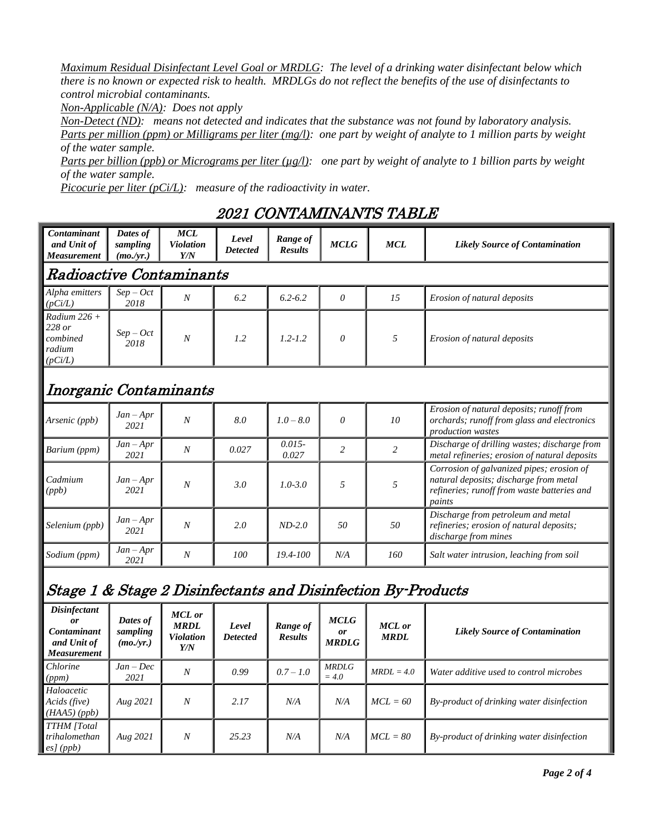*Maximum Residual Disinfectant Level Goal or MRDLG: The level of a drinking water disinfectant below which there is no known or expected risk to health. MRDLGs do not reflect the benefits of the use of disinfectants to control microbial contaminants.*

*Non-Applicable (N/A): Does not apply*

*Non-Detect (ND): means not detected and indicates that the substance was not found by laboratory analysis. Parts per million (ppm) or Milligrams per liter (mg/l): one part by weight of analyte to 1 million parts by weight of the water sample.*

*Parts per billion (ppb) or Micrograms per liter (µg/l):* one part by weight of analyte to 1 billion parts by weight *of the water sample.*

*Picocurie per liter (pCi/L): measure of the radioactivity in water.*

## 2021 CONTAMINANTS TABLE

| Contaminant<br>and Unit of<br><b>Measurement</b>                              | Dates of<br>sampling<br>(mo./yr.) | <b>MCL</b><br>Violation<br>Y/N                          | Level<br>Detected        | Range of<br><b>Results</b> | <b>MCLG</b>                              | <b>MCL</b>                   | <b>Likely Source of Contamination</b>                                                                                                        |  |  |  |  |  |
|-------------------------------------------------------------------------------|-----------------------------------|---------------------------------------------------------|--------------------------|----------------------------|------------------------------------------|------------------------------|----------------------------------------------------------------------------------------------------------------------------------------------|--|--|--|--|--|
| Radioactive Contaminants                                                      |                                   |                                                         |                          |                            |                                          |                              |                                                                                                                                              |  |  |  |  |  |
| Alpha emitters<br>(pCi/L)                                                     | $Sep-Oct$<br>2018                 | $\overline{N}$                                          | 6.2                      | $6.2 - 6.2$                | $\theta$                                 | 15                           | Erosion of natural deposits                                                                                                                  |  |  |  |  |  |
| Radium $226 +$<br>228 or<br>combined<br>radium<br>(pCi/L)                     | $Sep-Oct$<br>2018                 | N                                                       | 1.2                      | $1.2 - 1.2$                | $\boldsymbol{\mathit{0}}$                | 5                            | Erosion of natural deposits                                                                                                                  |  |  |  |  |  |
| Inorganic Contaminants                                                        |                                   |                                                         |                          |                            |                                          |                              |                                                                                                                                              |  |  |  |  |  |
| Arsenic (ppb)                                                                 | $Jan - Apr$<br>2021               | $\overline{N}$                                          | 8.0                      | $1.0 - 8.0$                | $\boldsymbol{\mathit{0}}$                | 10                           | Erosion of natural deposits; runoff from<br>orchards; runoff from glass and electronics<br><i>production wastes</i>                          |  |  |  |  |  |
| Barium (ppm)                                                                  | $Jan - Apr$<br>2021               | N                                                       | 0.027                    | $0.015 -$<br>0.027         | $\overline{c}$                           | $\overline{c}$               | Discharge of drilling wastes; discharge from<br>metal refineries; erosion of natural deposits                                                |  |  |  |  |  |
| Cadmium<br>(ppb)                                                              | $Jan - Apr$<br>2021               | N                                                       | 3.0                      | $1.0 - 3.0$                | 5                                        | 5                            | Corrosion of galvanized pipes; erosion of<br>natural deposits; discharge from metal<br>refineries; runoff from waste batteries and<br>paints |  |  |  |  |  |
| Selenium (ppb)                                                                | $Jan - Apr$<br>2021               | N                                                       | 2.0                      | $ND-2.0$                   | 50                                       | 50                           | Discharge from petroleum and metal<br>refineries; erosion of natural deposits;<br>discharge from mines                                       |  |  |  |  |  |
| Sodium (ppm)                                                                  | $Jan - Apr$<br>2021               | N                                                       | 100                      | 19.4-100                   | N/A                                      | 160                          | Salt water intrusion, leaching from soil                                                                                                     |  |  |  |  |  |
| Stage 1 & Stage 2 Disinfectants and Disinfection By-Products                  |                                   |                                                         |                          |                            |                                          |                              |                                                                                                                                              |  |  |  |  |  |
| <b>Disinfectant</b><br>or<br>Contaminant<br>and Unit of<br><b>Measurement</b> | Dates of<br>sampling<br>(mo./yr.) | <b>MCL</b> or<br><b>MRDL</b><br><b>Violation</b><br>Y/N | Level<br><b>Detected</b> | Range of<br><b>Results</b> | <b>MCLG</b><br><b>or</b><br><b>MRDLG</b> | <b>MCL</b> or<br><b>MRDL</b> | <b>Likely Source of Contamination</b>                                                                                                        |  |  |  |  |  |
| Chlorine<br>(ppm)                                                             | Jan – Dec<br>2021                 | N                                                       | 0.99                     | $0.7 - 1.0$                | <b>MRDLG</b><br>$= 4.0$                  | $MRDL = 4.0$                 | Water additive used to control microbes                                                                                                      |  |  |  |  |  |
| Haloacetic<br>Acids (five)<br>(HAA5)(ppb)                                     | Aug 2021                          | N                                                       | 2.17                     | N/A                        | N/A                                      | $MCL = 60$                   | By-product of drinking water disinfection                                                                                                    |  |  |  |  |  |
| <b>TTHM</b> [Total<br>trihalomethan<br>esJ(ppb)                               | Aug 2021                          | Ν                                                       | 25.23                    | N/A                        | N/A                                      | $MCL = 80$                   | By-product of drinking water disinfection                                                                                                    |  |  |  |  |  |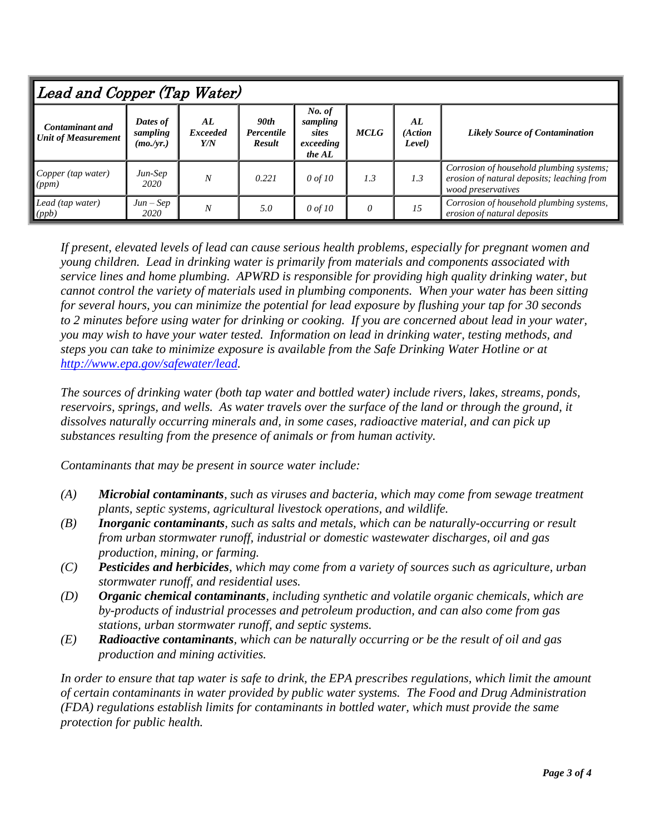| Lead and Copper (Tap Water)                          |                                   |                              |                                     |                                                                   |     |                         |                                                                                                              |  |  |  |  |
|------------------------------------------------------|-----------------------------------|------------------------------|-------------------------------------|-------------------------------------------------------------------|-----|-------------------------|--------------------------------------------------------------------------------------------------------------|--|--|--|--|
| <b>Contaminant and</b><br><b>Unit of Measurement</b> | Dates of<br>sampling<br>(mo./yr.) | AL<br><b>Exceeded</b><br>Y/N | 90th<br>Percentile<br><b>Result</b> | No. of<br>sampling<br><b>MCLG</b><br>sites<br>exceeding<br>the AL |     | AL<br>(Action<br>Level) | <b>Likely Source of Contamination</b>                                                                        |  |  |  |  |
| Copper (tap water)<br>$\vert (ppm) \vert$            | Jun-Sep<br>2020                   | $\boldsymbol{N}$             | 0.221                               | $0$ of 10                                                         | 1.3 | 1.3                     | Corrosion of household plumbing systems;<br>erosion of natural deposits; leaching from<br>wood preservatives |  |  |  |  |
| Lead (tap water)<br>$\vert (ppb)$                    | $Jun - Sep$<br>2020               | N                            | 5.0                                 | $0$ of 10                                                         | 0   | 15                      | Corrosion of household plumbing systems,<br>erosion of natural deposits                                      |  |  |  |  |

*If present, elevated levels of lead can cause serious health problems, especially for pregnant women and young children. Lead in drinking water is primarily from materials and components associated with service lines and home plumbing. APWRD is responsible for providing high quality drinking water, but cannot control the variety of materials used in plumbing components. When your water has been sitting for several hours, you can minimize the potential for lead exposure by flushing your tap for 30 seconds to 2 minutes before using water for drinking or cooking. If you are concerned about lead in your water, you may wish to have your water tested. Information on lead in drinking water, testing methods, and steps you can take to minimize exposure is available from the Safe Drinking Water Hotline or at [http://www.epa.gov/safewater/lead.](http://www.epa.gov/safewater/lead)*

*The sources of drinking water (both tap water and bottled water) include rivers, lakes, streams, ponds, reservoirs, springs, and wells. As water travels over the surface of the land or through the ground, it dissolves naturally occurring minerals and, in some cases, radioactive material, and can pick up substances resulting from the presence of animals or from human activity.*

*Contaminants that may be present in source water include:*

- *(A) Microbial contaminants, such as viruses and bacteria, which may come from sewage treatment plants, septic systems, agricultural livestock operations, and wildlife.*
- *(B) Inorganic contaminants, such as salts and metals, which can be naturally-occurring or result from urban stormwater runoff, industrial or domestic wastewater discharges, oil and gas production, mining, or farming.*
- *(C) Pesticides and herbicides, which may come from a variety of sources such as agriculture, urban stormwater runoff, and residential uses.*
- *(D) Organic chemical contaminants, including synthetic and volatile organic chemicals, which are by-products of industrial processes and petroleum production, and can also come from gas stations, urban stormwater runoff, and septic systems.*
- *(E) Radioactive contaminants, which can be naturally occurring or be the result of oil and gas production and mining activities.*

*In order to ensure that tap water is safe to drink, the EPA prescribes regulations, which limit the amount of certain contaminants in water provided by public water systems. The Food and Drug Administration (FDA) regulations establish limits for contaminants in bottled water, which must provide the same protection for public health.*